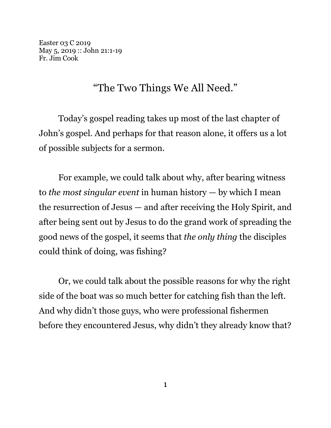Easter 03 C 2019 May 5, 2019 :: John 21:1-19 Fr. Jim Cook

## "The Two Things We All Need."

Today's gospel reading takes up most of the last chapter of John's gospel. And perhaps for that reason alone, it offers us a lot of possible subjects for a sermon.

For example, we could talk about why, after bearing witness to *the most singular event* in human history — by which I mean the resurrection of Jesus — and after receiving the Holy Spirit, and after being sent out by Jesus to do the grand work of spreading the good news of the gospel, it seems that *the only thing* the disciples could think of doing, was fishing?

Or, we could talk about the possible reasons for why the right side of the boat was so much better for catching fish than the left. And why didn't those guys, who were professional fishermen before they encountered Jesus, why didn't they already know that?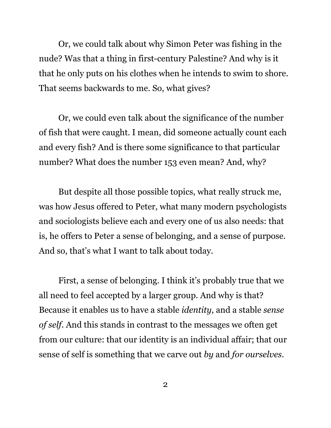Or, we could talk about why Simon Peter was fishing in the nude? Was that a thing in first-century Palestine? And why is it that he only puts on his clothes when he intends to swim to shore. That seems backwards to me. So, what gives?

Or, we could even talk about the significance of the number of fish that were caught. I mean, did someone actually count each and every fish? And is there some significance to that particular number? What does the number 153 even mean? And, why?

But despite all those possible topics, what really struck me, was how Jesus offered to Peter, what many modern psychologists and sociologists believe each and every one of us also needs: that is, he offers to Peter a sense of belonging, and a sense of purpose. And so, that's what I want to talk about today.

First, a sense of belonging. I think it's probably true that we all need to feel accepted by a larger group. And why is that? Because it enables us to have a stable *identity*, and a stable *sense of self*. And this stands in contrast to the messages we often get from our culture: that our identity is an individual affair; that our sense of self is something that we carve out *by* and *for ourselves*.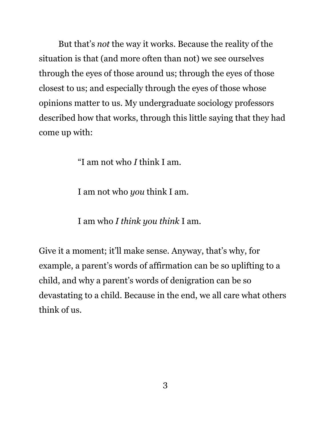But that's *not* the way it works. Because the reality of the situation is that (and more often than not) we see ourselves through the eyes of those around us; through the eyes of those closest to us; and especially through the eyes of those whose opinions matter to us. My undergraduate sociology professors described how that works, through this little saying that they had come up with:

"I am not who *I* think I am.

I am not who *you* think I am.

I am who *I think you think* I am.

Give it a moment; it'll make sense. Anyway, that's why, for example, a parent's words of affirmation can be so uplifting to a child, and why a parent's words of denigration can be so devastating to a child. Because in the end, we all care what others think of us.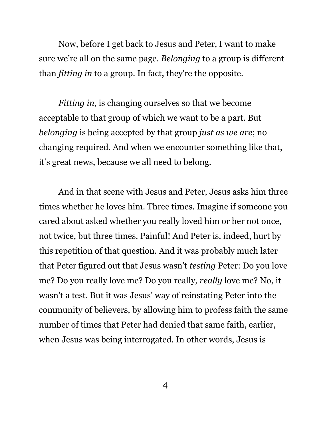Now, before I get back to Jesus and Peter, I want to make sure we're all on the same page. *Belonging* to a group is different than *fitting in* to a group. In fact, they're the opposite.

*Fitting in*, is changing ourselves so that we become acceptable to that group of which we want to be a part. But *belonging* is being accepted by that group *just as we are*; no changing required. And when we encounter something like that, it's great news, because we all need to belong.

And in that scene with Jesus and Peter, Jesus asks him three times whether he loves him. Three times. Imagine if someone you cared about asked whether you really loved him or her not once, not twice, but three times. Painful! And Peter is, indeed, hurt by this repetition of that question. And it was probably much later that Peter figured out that Jesus wasn't *testing* Peter: Do you love me? Do you really love me? Do you really, *really* love me? No, it wasn't a test. But it was Jesus' way of reinstating Peter into the community of believers, by allowing him to profess faith the same number of times that Peter had denied that same faith, earlier, when Jesus was being interrogated. In other words, Jesus is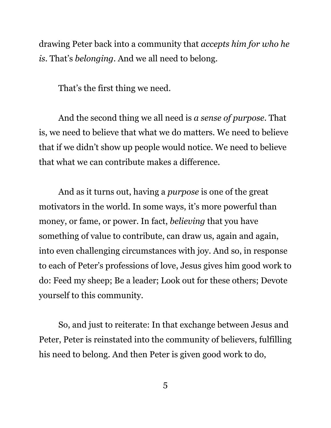drawing Peter back into a community that *accepts him for who he is*. That's *belonging*. And we all need to belong.

That's the first thing we need.

And the second thing we all need is *a sense of purpose*. That is, we need to believe that what we do matters. We need to believe that if we didn't show up people would notice. We need to believe that what we can contribute makes a difference.

And as it turns out, having a *purpose* is one of the great motivators in the world. In some ways, it's more powerful than money, or fame, or power. In fact, *believing* that you have something of value to contribute, can draw us, again and again, into even challenging circumstances with joy. And so, in response to each of Peter's professions of love, Jesus gives him good work to do: Feed my sheep; Be a leader; Look out for these others; Devote yourself to this community.

So, and just to reiterate: In that exchange between Jesus and Peter, Peter is reinstated into the community of believers, fulfilling his need to belong. And then Peter is given good work to do,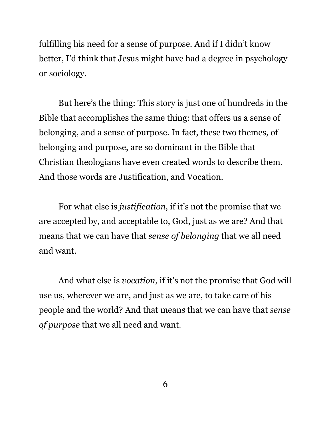fulfilling his need for a sense of purpose. And if I didn't know better, I'd think that Jesus might have had a degree in psychology or sociology.

But here's the thing: This story is just one of hundreds in the Bible that accomplishes the same thing: that offers us a sense of belonging, and a sense of purpose. In fact, these two themes, of belonging and purpose, are so dominant in the Bible that Christian theologians have even created words to describe them. And those words are Justification, and Vocation.

For what else is *justification*, if it's not the promise that we are accepted by, and acceptable to, God, just as we are? And that means that we can have that *sense of belonging* that we all need and want.

And what else is *vocation*, if it's not the promise that God will use us, wherever we are, and just as we are, to take care of his people and the world? And that means that we can have that *sense of purpose* that we all need and want.